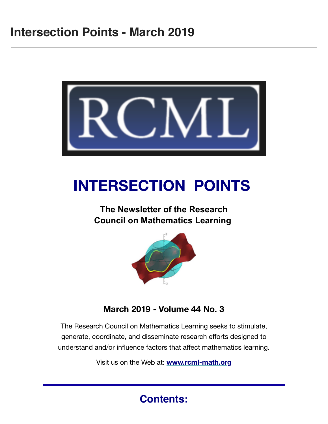

## **INTERSECTION POINTS**

## **The Newsletter of the Research Council on Mathematics Learning**



**March 2019 - Volume 44 No. 3**

The Research Council on Mathematics Learning seeks to stimulate, generate, coordinate, and disseminate research efforts designed to understand and/or influence factors that affect mathematics learning.

Visit us on the Web at: **[www.rcml-math.org](http://www.rcml-math.org/)**

**Contents:**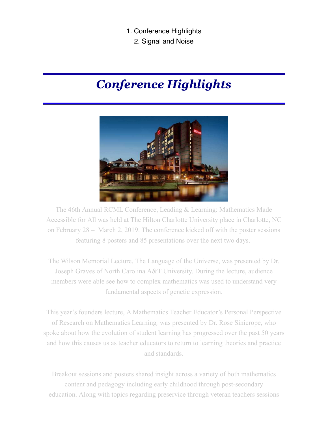- 1. Conference Highlights
	- 2. Signal and Noise

## *Conference Highlights*



The 46th Annual RCML Conference, Leading & Learning: Mathematics Made Accessible for All was held at The Hilton Charlotte University place in Charlotte, NC on February 28 – March 2, 2019. The conference kicked off with the poster sessions featuring 8 posters and 85 presentations over the next two days.

The Wilson Memorial Lecture, The Language of the Universe, was presented by Dr. Joseph Graves of North Carolina A&T University. During the lecture, audience members were able see how to complex mathematics was used to understand very fundamental aspects of genetic expression.

This year's founders lecture, A Mathematics Teacher Educator's Personal Perspective of Research on Mathematics Learning*,* was presented by Dr. Rose Sinicrope, who spoke about how the evolution of student learning has progressed over the past 50 years and how this causes us as teacher educators to return to learning theories and practice and standards.

Breakout sessions and posters shared insight across a variety of both mathematics content and pedagogy including early childhood through post-secondary education. Along with topics regarding preservice through veteran teachers sessions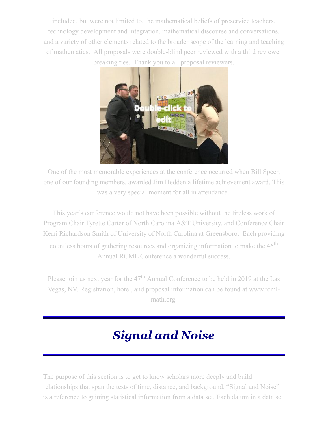included, but were not limited to, the mathematical beliefs of preservice teachers, technology development and integration, mathematical discourse and conversations, and a variety of other elements related to the broader scope of the learning and teaching of mathematics. All proposals were double-blind peer reviewed with a third reviewer breaking ties. Thank you to all proposal reviewers.



One of the most memorable experiences at the conference occurred when Bill Speer, one of our founding members, awarded Jim Hedden a lifetime achievement award. This was a very special moment for all in attendance.

This year's conference would not have been possible without the tireless work of Program Chair Tyrette Carter of North Carolina A&T University, and Conference Chair Kerri Richardson Smith of University of North Carolina at Greensboro. Each providing countless hours of gathering resources and organizing information to make the 46<sup>th</sup> Annual RCML Conference a wonderful success.

Please join us next year for the  $47<sup>th</sup>$  Annual Conference to be held in 2019 at the Las Vegas, NV. Registration, hotel, and proposal information can be found at www.rcmlmath.org.

## *Signal and Noise*

The purpose of this section is to get to know scholars more deeply and build relationships that span the tests of time, distance, and background. "Signal and Noise" is a reference to gaining statistical information from a data set. Each datum in a data set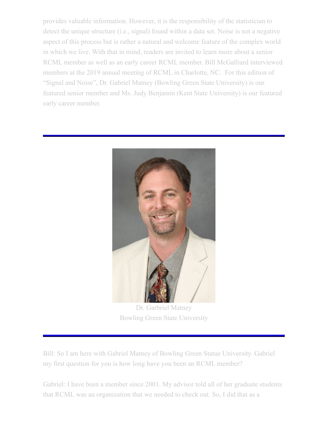provides valuable information. However, it is the responsibility of the statistician to detect the unique structure (i.e., signal) found within a data set. Noise is not a negative aspect of this process but is rather a natural and welcome feature of the complex world in which we live. With that in mind, readers are invited to learn more about a senior RCML member as well as an early career RCML member. Bill McGalliard interviewed members at the 2019 annual meeting of RCML in Charlotte, NC. For this edition of "Signal and Noise", Dr. Gabriel Matney (Bowling Green State University) is our featured senior member and Ms. Judy Benjamin (Kent State University) is our featured early career member.



Dr. Garbriel Matney Bowling Green State University

Bill: So I am here with Gabriel Matney of Bowling Green Statue University. Gabriel my first question for you is how long have you been an RCML member?

Gabriel: I have been a member since 2001. My advisor told all of her graduate students that RCML was an organization that we needed to check out. So, I did that as a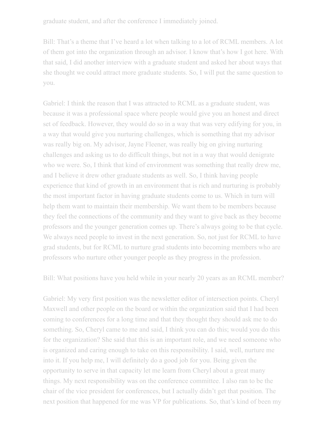graduate student, and after the conference I immediately joined.

Bill: That's a theme that I've heard a lot when talking to a lot of RCML members. A lot of them got into the organization through an advisor. I know that's how I got here. With that said, I did another interview with a graduate student and asked her about ways that she thought we could attract more graduate students. So, I will put the same question to you.

Gabriel: I think the reason that I was attracted to RCML as a graduate student, was because it was a professional space where people would give you an honest and direct set of feedback. However, they would do so in a way that was very edifying for you, in a way that would give you nurturing challenges, which is something that my advisor was really big on. My advisor, Jayne Fleener, was really big on giving nurturing challenges and asking us to do difficult things, but not in a way that would denigrate who we were. So, I think that kind of environment was something that really drew me, and I believe it drew other graduate students as well. So, I think having people experience that kind of growth in an environment that is rich and nurturing is probably the most important factor in having graduate students come to us. Which in turn will help them want to maintain their membership. We want them to be members because they feel the connections of the community and they want to give back as they become professors and the younger generation comes up. There's always going to be that cycle. We always need people to invest in the next generation. So, not just for RCML to have grad students, but for RCML to nurture grad students into becoming members who are professors who nurture other younger people as they progress in the profession.

Bill: What positions have you held while in your nearly 20 years as an RCML member?

Gabriel: My very first position was the newsletter editor of intersection points. Cheryl Maxwell and other people on the board or within the organization said that I had been coming to conferences for a long time and that they thought they should ask me to do something. So, Cheryl came to me and said, I think you can do this; would you do this for the organization? She said that this is an important role, and we need someone who is organized and caring enough to take on this responsibility. I said, well, nurture me into it. If you help me, I will definitely do a good job for you. Being given the opportunity to serve in that capacity let me learn from Cheryl about a great many things. My next responsibility was on the conference committee. I also ran to be the chair of the vice president for conferences, but I actually didn't get that position. The next position that happened for me was VP for publications. So, that's kind of been my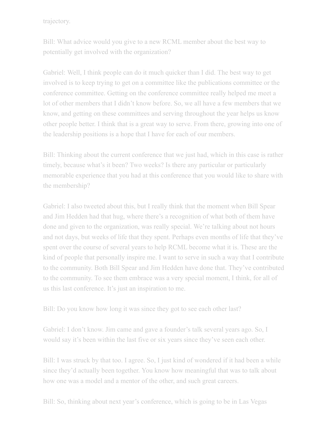trajectory.

Bill: What advice would you give to a new RCML member about the best way to potentially get involved with the organization?

Gabriel: Well, I think people can do it much quicker than I did. The best way to get involved is to keep trying to get on a committee like the publications committee or the conference committee. Getting on the conference committee really helped me meet a lot of other members that I didn't know before. So, we all have a few members that we know, and getting on these committees and serving throughout the year helps us know other people better. I think that is a great way to serve. From there, growing into one of the leadership positions is a hope that I have for each of our members.

Bill: Thinking about the current conference that we just had, which in this case is rather timely, because what's it been? Two weeks? Is there any particular or particularly memorable experience that you had at this conference that you would like to share with the membership?

Gabriel: I also tweeted about this, but I really think that the moment when Bill Spear and Jim Hedden had that hug, where there's a recognition of what both of them have done and given to the organization, was really special. We're talking about not hours and not days, but weeks of life that they spent. Perhaps even months of life that they've spent over the course of several years to help RCML become what it is. These are the kind of people that personally inspire me. I want to serve in such a way that I contribute to the community. Both Bill Spear and Jim Hedden have done that. They've contributed to the community. To see them embrace was a very special moment, I think, for all of us this last conference. It's just an inspiration to me.

Bill: Do you know how long it was since they got to see each other last?

Gabriel: I don't know. Jim came and gave a founder's talk several years ago. So, I would say it's been within the last five or six years since they've seen each other.

Bill: I was struck by that too. I agree. So, I just kind of wondered if it had been a while since they'd actually been together. You know how meaningful that was to talk about how one was a model and a mentor of the other, and such great careers.

Bill: So, thinking about next year's conference, which is going to be in Las Vegas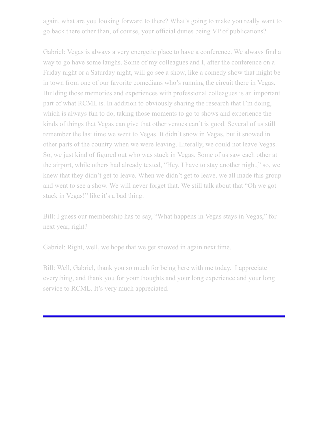again, what are you looking forward to there? What's going to make you really want to go back there other than, of course, your official duties being VP of publications?

Gabriel: Vegas is always a very energetic place to have a conference. We always find a way to go have some laughs. Some of my colleagues and I, after the conference on a Friday night or a Saturday night, will go see a show, like a comedy show that might be in town from one of our favorite comedians who's running the circuit there in Vegas. Building those memories and experiences with professional colleagues is an important part of what RCML is. In addition to obviously sharing the research that I'm doing, which is always fun to do, taking those moments to go to shows and experience the kinds of things that Vegas can give that other venues can't is good. Several of us still remember the last time we went to Vegas. It didn't snow in Vegas, but it snowed in other parts of the country when we were leaving. Literally, we could not leave Vegas. So, we just kind of figured out who was stuck in Vegas. Some of us saw each other at the airport, while others had already texted, "Hey, I have to stay another night," so, we knew that they didn't get to leave. When we didn't get to leave, we all made this group and went to see a show. We will never forget that. We still talk about that "Oh we got stuck in Vegas!" like it's a bad thing.

Bill: I guess our membership has to say, "What happens in Vegas stays in Vegas," for next year, right?

Gabriel: Right, well, we hope that we get snowed in again next time.

Bill: Well, Gabriel, thank you so much for being here with me today. I appreciate everything, and thank you for your thoughts and your long experience and your long service to RCML. It's very much appreciated.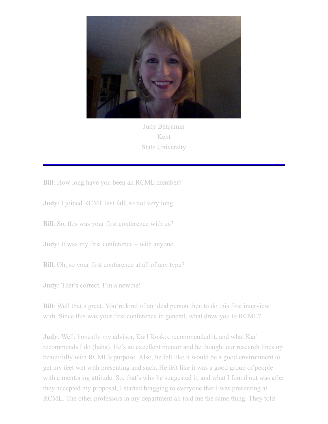

Judy Benjamin Kent State University

**Bill**: How long have you been an RCML member?

**Judy**: I joined RCML last fall, so not very long.

**Bill**: So, this was your first conference with us?

**Judy**: It was my first conference – with anyone.

**Bill**: Oh, so your first conference at all of any type?

**Judy**: That's correct. I'm a newbie!

**Bill**: Well that's great. You're kind of an ideal person then to do this first interview with. Since this was your first conference in general, what drew you to RCML?

**Judy**: Well, honestly my advisor, Karl Kosko, recommended it, and what Karl recommends I do (haha). He's an excellent mentor and he thought our research lines up beautifully with RCML's purpose. Also, he felt like it would be a good environment to get my feet wet with presenting and such. He felt like it was a good group of people with a mentoring attitude. So, that's why he suggested it, and what I found out was after they accepted my proposal, I started bragging to everyone that I was presenting at RCML. The other professors in my department all told me the same thing. They told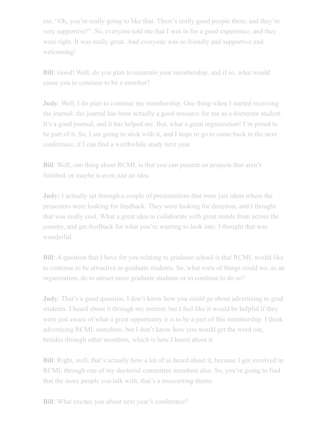me, "Oh, you're really going to like that. There's really good people there, and they're very supportive!". So, everyone told me that I was in for a good experience, and they were right. It was really great. And everyone was so friendly and supportive and welcoming!

**Bill**: Good! Well, do you plan to maintain your membership, and if so, what would cause you to continue to be a member?

**Judy**: Well, I do plan to continue my membership. One thing when I started receiving the journal: the journal has been actually a good resource for me as a doctorate student. It's a good journal, and it has helped me. But, what a great organization! I'm proud to be part of it. So, I am going to stick with it, and I hope to go to come back to the next conference, if I can find a worthwhile study next year.

**Bill**: Well, one thing about RCML is that you can present on projects that aren't finished, or maybe is even just an idea.

**Judy:** I actually sat through a couple of presentations that were just ideas where the presenters were looking for feedback. They were looking for direction, and I thought that was really cool. What a great idea to collaborate with great minds from across the country, and get feedback for what you're wanting to look into. I thought that was wonderful.

**Bill**: A question that I have for you relating to graduate school is that RCML would like to continue to be attractive to graduate students. So, what sorts of things could we, as an organization, do to attract more graduate students or to continue to do so?

**Judy**: That's a good question. I don't know how you could go about advertising to grad students. I heard about it through my mentor, but I feel like it would be helpful if they were just aware of what a great opportunity it is to be a part of this membership. I think advertising RCML somehow, but I don't know how you would get the word out, besides through other members, which is how I heard about it.

**Bill**: Right, well, that's actually how a lot of us heard about it, because I got involved in RCML through one of my doctorial committee members also. So, you're going to find that the more people you talk with, that's a reoccurring theme.

**Bill**: What excites you about next year's conference?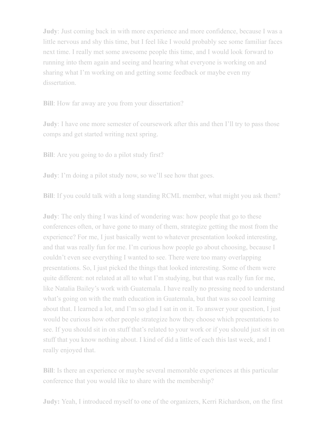**Judy**: Just coming back in with more experience and more confidence, because I was a little nervous and shy this time, but I feel like I would probably see some familiar faces next time. I really met some awesome people this time, and I would look forward to running into them again and seeing and hearing what everyone is working on and sharing what I'm working on and getting some feedback or maybe even my dissertation.

**Bill**: How far away are you from your dissertation?

**Judy**: I have one more semester of coursework after this and then I'll try to pass those comps and get started writing next spring.

**Bill**: Are you going to do a pilot study first?

**Judy**: I'm doing a pilot study now, so we'll see how that goes.

**Bill**: If you could talk with a long standing RCML member, what might you ask them?

**Judy**: The only thing I was kind of wondering was: how people that go to these conferences often, or have gone to many of them, strategize getting the most from the experience? For me, I just basically went to whatever presentation looked interesting, and that was really fun for me. I'm curious how people go about choosing, because I couldn't even see everything I wanted to see. There were too many overlapping presentations. So, I just picked the things that looked interesting. Some of them were quite different: not related at all to what I'm studying, but that was really fun for me, like Natalia Bailey's work with Guatemala. I have really no pressing need to understand what's going on with the math education in Guatemala, but that was so cool learning about that. I learned a lot, and I'm so glad I sat in on it. To answer your question, I just would be curious how other people strategize how they choose which presentations to see. If you should sit in on stuff that's related to your work or if you should just sit in on stuff that you know nothing about. I kind of did a little of each this last week, and I really enjoyed that.

**Bill**: Is there an experience or maybe several memorable experiences at this particular conference that you would like to share with the membership?

**Judy:** Yeah, I introduced myself to one of the organizers, Kerri Richardson, on the first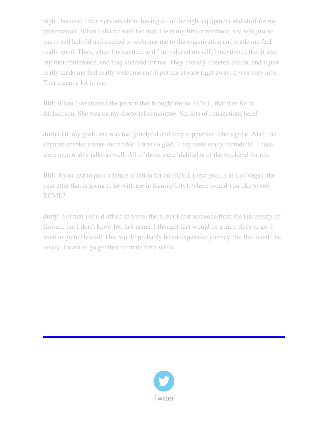night, because I was nervous about having all of the right equipment and stuff for my presentation. When I shared with her that it was my first conference, she was just so warm and helpful and excited to welcome me to the organization and made me feel really good. Then, when I presented, and I introduced myself, I mentioned that it was my first conference, and they cheered for me. They literally cheered me on, and it just really made me feel really welcome and it put me at ease right away. It was very nice. That meant a lot to me.

**Bill**: When I mentioned the person that brought me to RCML, that was Kerri Richardson. She was on my doctorial committee. So, lots of connections here!

**Judy:** Oh my gosh, she was really helpful and very supportive. She's great. Also, the keynote speakers were incredible. I was so glad. They were really incredible. Those were memorable talks as well. All of those were highlights of the weekend for me.

**Bill**: If you had to pick a future location for an RCML (next year is at Las Vegas; the year after that is going to be with me in Kansas City), where would you like to see RCML?

**Judy**: Not that I could afford to travel there, but I met someone from the University of Hawaii, but I don't know her last name. I thought that would be a nice place to go. I want to go to Hawaii! That would probably be an expensive journey, but that would be lovely. I want to go get their climate for a while.